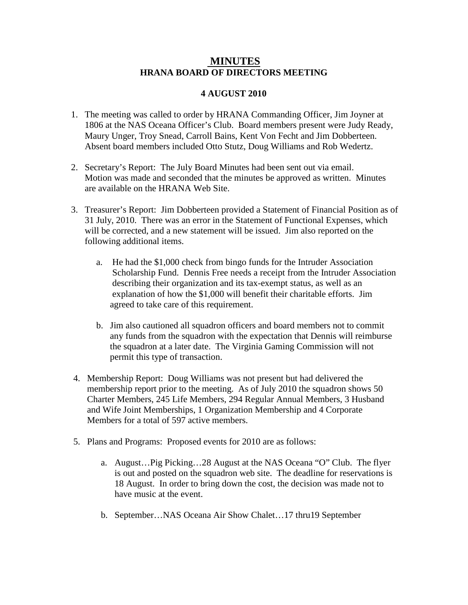## **HRANA BOARD OF DIRECTORS MEETING MINUTES**

## **4 AUGUST 2010**

- 1. The meeting was called to order by HRANA Commanding Officer, Jim Joyner at 1806 at the NAS Oceana Officer's Club. Board members present were Judy Ready, Maury Unger, Troy Snead, Carroll Bains, Kent Von Fecht and Jim Dobberteen. Absent board members included Otto Stutz, Doug Williams and Rob Wedertz.
- 2. Secretary's Report: The July Board Minutes had been sent out via email. Motion was made and seconded that the minutes be approved as written. Minutes are available on the HRANA Web Site.
- 3. Treasurer's Report: Jim Dobberteen provided a Statement of Financial Position as of 31 July, 2010. There was an error in the Statement of Functional Expenses, which will be corrected, and a new statement will be issued. Jim also reported on the following additional items.
	- a. He had the \$1,000 check from bingo funds for the Intruder Association Scholarship Fund. Dennis Free needs a receipt from the Intruder Association describing their organization and its tax-exempt status, as well as an explanation of how the \$1,000 will benefit their charitable efforts. Jim agreed to take care of this requirement.
	- b. Jim also cautioned all squadron officers and board members not to commit any funds from the squadron with the expectation that Dennis will reimburse the squadron at a later date. The Virginia Gaming Commission will not permit this type of transaction.
- 4. Membership Report: Doug Williams was not present but had delivered the membership report prior to the meeting. As of July 2010 the squadron shows 50 Charter Members, 245 Life Members, 294 Regular Annual Members, 3 Husband and Wife Joint Memberships, 1 Organization Membership and 4 Corporate Members for a total of 597 active members.
- 5. Plans and Programs: Proposed events for 2010 are as follows:
	- a. August…Pig Picking…28 August at the NAS Oceana "O" Club. The flyer is out and posted on the squadron web site. The deadline for reservations is 18 August. In order to bring down the cost, the decision was made not to have music at the event.
	- b. September…NAS Oceana Air Show Chalet…17 thru19 September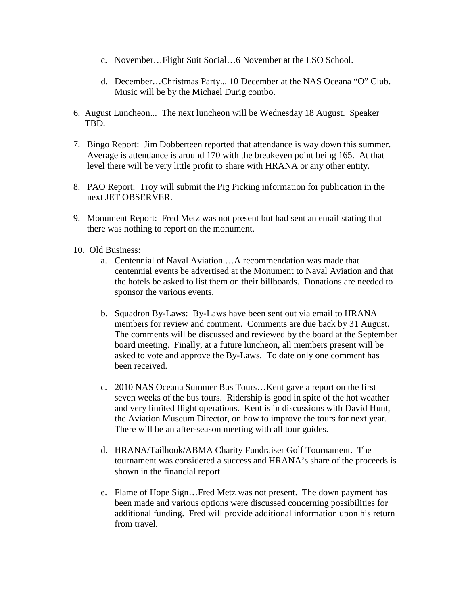- c. November…Flight Suit Social…6 November at the LSO School.
- d. December…Christmas Party... 10 December at the NAS Oceana "O" Club. Music will be by the Michael Durig combo.
- 6. August Luncheon... The next luncheon will be Wednesday 18 August. Speaker TBD.
- 7. Bingo Report: Jim Dobberteen reported that attendance is way down this summer. Average is attendance is around 170 with the breakeven point being 165. At that level there will be very little profit to share with HRANA or any other entity.
- 8. PAO Report: Troy will submit the Pig Picking information for publication in the next JET OBSERVER.
- 9. Monument Report: Fred Metz was not present but had sent an email stating that there was nothing to report on the monument.
- 10. Old Business:
	- a. Centennial of Naval Aviation …A recommendation was made that centennial events be advertised at the Monument to Naval Aviation and that the hotels be asked to list them on their billboards. Donations are needed to sponsor the various events.
	- b. Squadron By-Laws: By-Laws have been sent out via email to HRANA members for review and comment. Comments are due back by 31 August. The comments will be discussed and reviewed by the board at the September board meeting. Finally, at a future luncheon, all members present will be asked to vote and approve the By-Laws. To date only one comment has been received.
	- c. 2010 NAS Oceana Summer Bus Tours…Kent gave a report on the first seven weeks of the bus tours. Ridership is good in spite of the hot weather and very limited flight operations. Kent is in discussions with David Hunt, the Aviation Museum Director, on how to improve the tours for next year. There will be an after-season meeting with all tour guides.
	- d. HRANA/Tailhook/ABMA Charity Fundraiser Golf Tournament. The tournament was considered a success and HRANA's share of the proceeds is shown in the financial report.
	- e. Flame of Hope Sign…Fred Metz was not present. The down payment has been made and various options were discussed concerning possibilities for additional funding. Fred will provide additional information upon his return from travel.